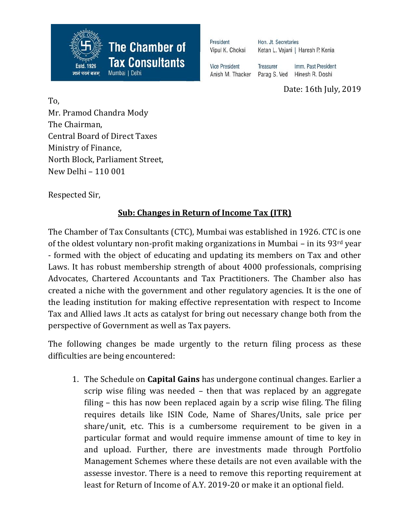

| President             | Hon. Jt. Secretaries              |                     |  |
|-----------------------|-----------------------------------|---------------------|--|
| Vipul K. Choksi       | Ketan L. Vajani   Haresh P. Kenia |                     |  |
| <b>Vice President</b> | <b>Treasurer</b>                  | Imm. Past President |  |
| Anish M. Thacker      | Parag S. Ved                      | Hinesh R. Doshi     |  |

Date: 16th July, 2019

To, Mr. Pramod Chandra Mody The Chairman, Central Board of Direct Taxes Ministry of Finance, North Block, Parliament Street, New Delhi – 110 001

Respected Sir,

## **Sub: Changes in Return of Income Tax (ITR)**

The Chamber of Tax Consultants (CTC), Mumbai was established in 1926. CTC is one of the oldest voluntary non-profit making organizations in Mumbai – in its 93rd year - formed with the object of educating and updating its members on Tax and other Laws. It has robust membership strength of about 4000 professionals, comprising Advocates, Chartered Accountants and Tax Practitioners. The Chamber also has created a niche with the government and other regulatory agencies. It is the one of the leading institution for making effective representation with respect to Income Tax and Allied laws .It acts as catalyst for bring out necessary change both from the perspective of Government as well as Tax payers.

The following changes be made urgently to the return filing process as these difficulties are being encountered:

1. The Schedule on **Capital Gains** has undergone continual changes. Earlier a scrip wise filing was needed – then that was replaced by an aggregate filing – this has now been replaced again by a scrip wise filing. The filing requires details like ISIN Code, Name of Shares/Units, sale price per share/unit, etc. This is a cumbersome requirement to be given in a particular format and would require immense amount of time to key in and upload. Further, there are investments made through Portfolio Management Schemes where these details are not even available with the assesse investor. There is a need to remove this reporting requirement at least for Return of Income of A.Y. 2019-20 or make it an optional field.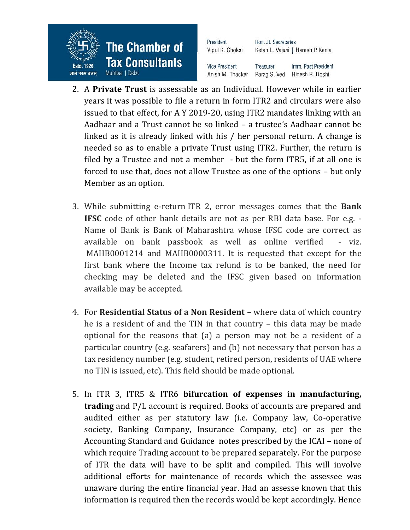

2. A **Private Trust** is assessable as an Individual. However while in earlier years it was possible to file a return in form ITR2 and circulars were also issued to that effect, for A Y 2019-20, using ITR2 mandates linking with an Aadhaar and a Trust cannot be so linked – a trustee's Aadhaar cannot be linked as it is already linked with his / her personal return. A change is needed so as to enable a private Trust using ITR2. Further, the return is filed by a Trustee and not a member - but the form ITR5, if at all one is forced to use that, does not allow Trustee as one of the options – but only Member as an option.

Imm. Past President

- 3. While submitting e-return ITR 2, error messages comes that the **Bank IFSC** code of other bank details are not as per RBI data base. For e.g. - Name of Bank is Bank of Maharashtra whose IFSC code are correct as available on bank passbook as well as online verified - viz. MAHB0001214 and MAHB0000311. It is requested that except for the first bank where the Income tax refund is to be banked, the need for checking may be deleted and the IFSC given based on information available may be accepted.
- 4. For **Residential Status of a Non Resident** where data of which country he is a resident of and the TIN in that country – this data may be made optional for the reasons that (a) a person may not be a resident of a particular country (e.g. seafarers) and (b) not necessary that person has a tax residency number (e.g. student, retired person, residents of UAE where no TIN is issued, etc). This field should be made optional.
- 5. In ITR 3, ITR5 & ITR6 **bifurcation of expenses in manufacturing, trading** and P/L account is required. Books of accounts are prepared and audited either as per statutory law (i.e. Company law, Co-operative society, Banking Company, Insurance Company, etc) or as per the Accounting Standard and Guidance notes prescribed by the ICAI – none of which require Trading account to be prepared separately. For the purpose of ITR the data will have to be split and compiled. This will involve additional efforts for maintenance of records which the assessee was unaware during the entire financial year. Had an assesse known that this information is required then the records would be kept accordingly. Hence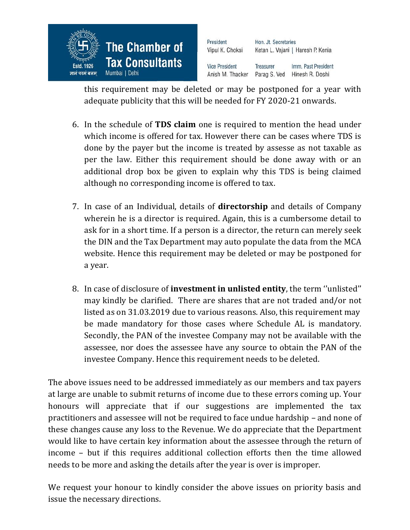

| President             | Hon. Jt. Secretaries              |                     |  |
|-----------------------|-----------------------------------|---------------------|--|
| Vipul K. Choksi       | Ketan L. Vajani   Haresh P. Kenia |                     |  |
| <b>Vice President</b> | <b>Treasurer</b>                  | Imm. Past President |  |
| Anish M. Thacker      | Parag S. Ved                      | Hinesh R. Doshi     |  |

this requirement may be deleted or may be postponed for a year with adequate publicity that this will be needed for FY 2020-21 onwards.

- 6. In the schedule of **TDS claim** one is required to mention the head under which income is offered for tax. However there can be cases where TDS is done by the payer but the income is treated by assesse as not taxable as per the law. Either this requirement should be done away with or an additional drop box be given to explain why this TDS is being claimed although no corresponding income is offered to tax.
- 7. In case of an Individual, details of **directorship** and details of Company wherein he is a director is required. Again, this is a cumbersome detail to ask for in a short time. If a person is a director, the return can merely seek the DIN and the Tax Department may auto populate the data from the MCA website. Hence this requirement may be deleted or may be postponed for a year.
- 8. In case of disclosure of **investment in unlisted entity**, the term ''unlisted'' may kindly be clarified. There are shares that are not traded and/or not listed as on 31.03.2019 due to various reasons. Also, this requirement may be made mandatory for those cases where Schedule AL is mandatory. Secondly, the PAN of the investee Company may not be available with the assessee, nor does the assessee have any source to obtain the PAN of the investee Company. Hence this requirement needs to be deleted.

The above issues need to be addressed immediately as our members and tax payers at large are unable to submit returns of income due to these errors coming up. Your honours will appreciate that if our suggestions are implemented the tax practitioners and assessee will not be required to face undue hardship – and none of these changes cause any loss to the Revenue. We do appreciate that the Department would like to have certain key information about the assessee through the return of income – but if this requires additional collection efforts then the time allowed needs to be more and asking the details after the year is over is improper.

We request your honour to kindly consider the above issues on priority basis and issue the necessary directions.